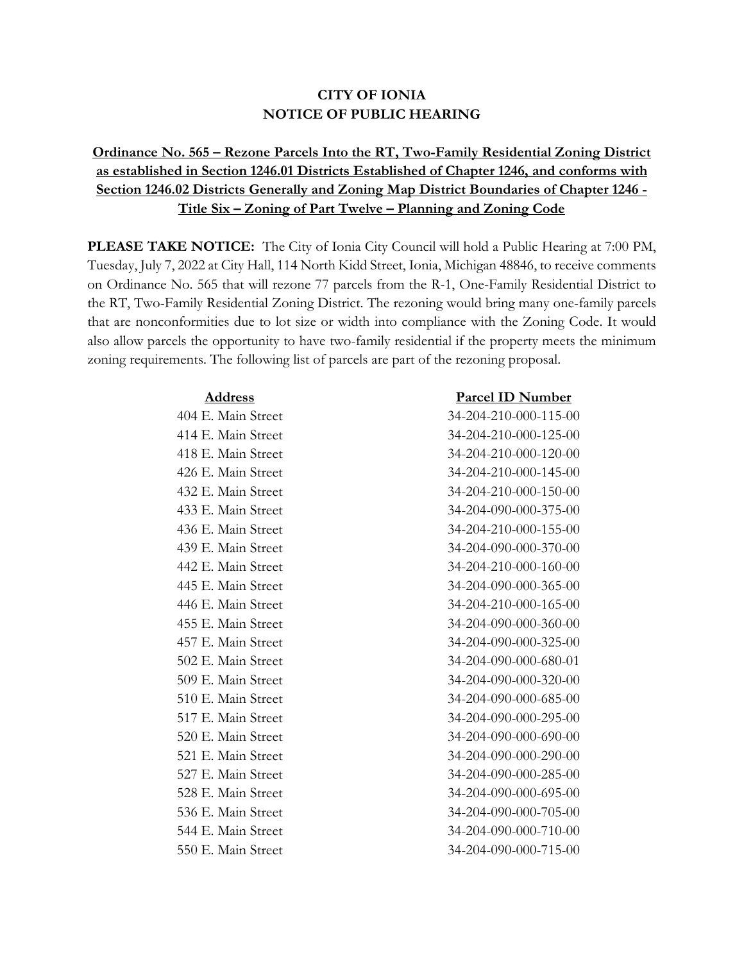## **CITY OF IONIA NOTICE OF PUBLIC HEARING**

## **Ordinance No. 565 – Rezone Parcels Into the RT, Two-Family Residential Zoning District as established in Section 1246.01 Districts Established of Chapter 1246, and conforms with Section 1246.02 Districts Generally and Zoning Map District Boundaries of Chapter 1246 - Title Six – Zoning of Part Twelve – Planning and Zoning Code**

**PLEASE TAKE NOTICE:** The City of Ionia City Council will hold a Public Hearing at 7:00 PM, Tuesday, July 7, 2022 at City Hall, 114 North Kidd Street, Ionia, Michigan 48846, to receive comments on Ordinance No. 565 that will rezone 77 parcels from the R-1, One-Family Residential District to the RT, Two-Family Residential Zoning District. The rezoning would bring many one-family parcels that are nonconformities due to lot size or width into compliance with the Zoning Code. It would also allow parcels the opportunity to have two-family residential if the property meets the minimum zoning requirements. The following list of parcels are part of the rezoning proposal.

## **Address Parcel ID Number**

404 E. Main Street 34-204-210-000-115-00 414 E. Main Street 34-204-210-000-125-00 418 E. Main Street 34-204-210-000-120-00 426 E. Main Street 34-204-210-000-145-00 432 E. Main Street 34-204-210-000-150-00 433 E. Main Street 34-204-090-000-375-00 436 E. Main Street 34-204-210-000-155-00 439 E. Main Street 34-204-090-000-370-00 442 E. Main Street 34-204-210-000-160-00 445 E. Main Street 34-204-090-000-365-00 446 E. Main Street 34-204-210-000-165-00 455 E. Main Street 34-204-090-000-360-00 457 E. Main Street 34-204-090-000-325-00 502 E. Main Street 34-204-090-000-680-01 509 E. Main Street 34-204-090-000-320-00 510 E. Main Street 34-204-090-000-685-00 517 E. Main Street 34-204-090-000-295-00 520 E. Main Street 34-204-090-000-690-00 521 E. Main Street 34-204-090-000-290-00 527 E. Main Street 34-204-090-000-285-00 528 E. Main Street 34-204-090-000-695-00 536 E. Main Street 34-204-090-000-705-00 544 E. Main Street 34-204-090-000-710-00 550 E. Main Street 34-204-090-000-715-00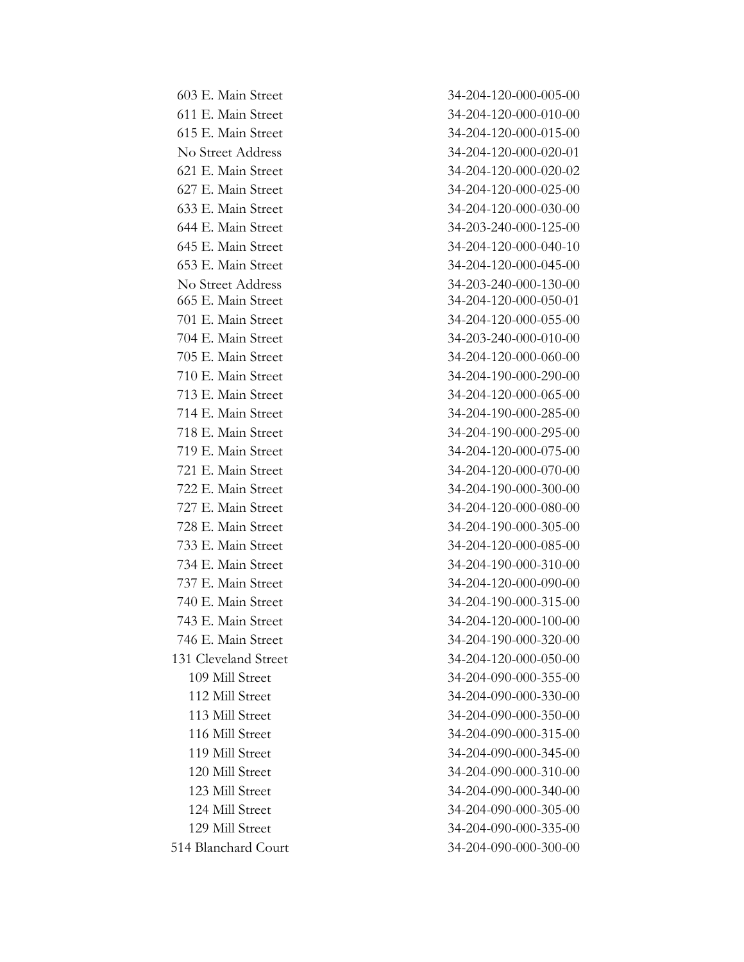603 E. Main Street 34-204-120-000-005-00 611 E. Main Street 34-204-120-000-010-00 615 E. Main Street 34-204-120-000-015-00 No Street Address 34-204-120-000-020-01 621 E. Main Street 34-204-120-000-020-02 627 E. Main Street 34-204-120-000-025-00 633 E. Main Street 34-204-120-000-030-00 644 E. Main Street 34-203-240-000-125-00 645 E. Main Street 34-204-120-000-040-10 653 E. Main Street 34-204-120-000-045-00 No Street Address 34-203-240-000-130-00 665 E. Main Street 34-204-120-000-050-01 701 E. Main Street 34-204-120-000-055-00 704 E. Main Street 34-203-240-000-010-00 705 E. Main Street 34-204-120-000-060-00 710 E. Main Street 34-204-190-000-290-00 713 E. Main Street 34-204-120-000-065-00 714 E. Main Street 34-204-190-000-285-00 718 E. Main Street 34-204-190-000-295-00 719 E. Main Street 34-204-120-000-075-00 721 E. Main Street 34-204-120-000-070-00 722 E. Main Street 34-204-190-000-300-00 727 E. Main Street 34-204-120-000-080-00 728 E. Main Street 34-204-190-000-305-00 733 E. Main Street 34-204-120-000-085-00 734 E. Main Street 34-204-190-000-310-00 737 E. Main Street 34-204-120-000-090-00 740 E. Main Street 34-204-190-000-315-00 743 E. Main Street 34-204-120-000-100-00 746 E. Main Street 34-204-190-000-320-00 131 Cleveland Street 34-204-120-000-050-00 109 Mill Street 34-204-090-000-355-00 112 Mill Street 34-204-090-000-330-00 113 Mill Street 34-204-090-000-350-00 116 Mill Street 34-204-090-000-315-00 119 Mill Street 34-204-090-000-345-00 120 Mill Street 34-204-090-000-310-00 123 Mill Street 34-204-090-000-340-00 124 Mill Street 34-204-090-000-305-00 129 Mill Street 34-204-090-000-335-00 514 Blanchard Court 34-204-090-000-300-00